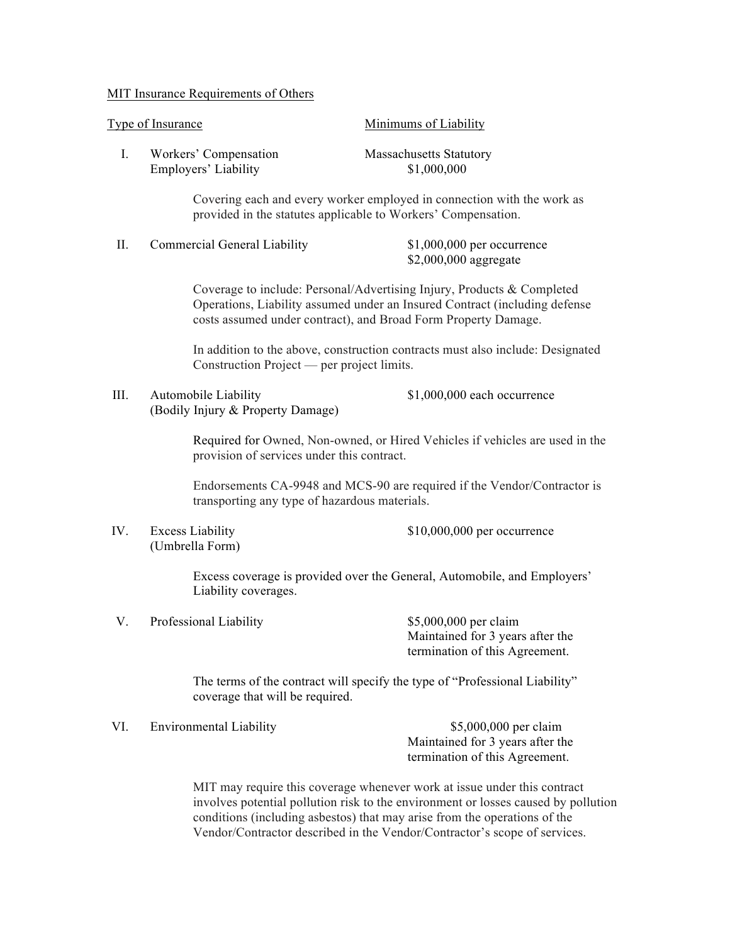## MIT Insurance Requirements of Others

|      | Type of Insurance                                                                                                                                                                                                      | Minimums of Liability                                                                       |
|------|------------------------------------------------------------------------------------------------------------------------------------------------------------------------------------------------------------------------|---------------------------------------------------------------------------------------------|
| I.   | Workers' Compensation<br>Employers' Liability                                                                                                                                                                          | <b>Massachusetts Statutory</b><br>\$1,000,000                                               |
|      | Covering each and every worker employed in connection with the work as<br>provided in the statutes applicable to Workers' Compensation.                                                                                |                                                                                             |
| П.   | Commercial General Liability                                                                                                                                                                                           | \$1,000,000 per occurrence<br>\$2,000,000 aggregate                                         |
|      | Coverage to include: Personal/Advertising Injury, Products & Completed<br>Operations, Liability assumed under an Insured Contract (including defense<br>costs assumed under contract), and Broad Form Property Damage. |                                                                                             |
|      | In addition to the above, construction contracts must also include: Designated<br>Construction Project — per project limits.                                                                                           |                                                                                             |
| III. | Automobile Liability<br>(Bodily Injury & Property Damage)                                                                                                                                                              | \$1,000,000 each occurrence                                                                 |
|      | provision of services under this contract.                                                                                                                                                                             | Required for Owned, Non-owned, or Hired Vehicles if vehicles are used in the                |
|      | Endorsements CA-9948 and MCS-90 are required if the Vendor/Contractor is<br>transporting any type of hazardous materials.                                                                                              |                                                                                             |
| IV.  | <b>Excess Liability</b><br>(Umbrella Form)                                                                                                                                                                             | \$10,000,000 per occurrence                                                                 |
|      | Excess coverage is provided over the General, Automobile, and Employers'<br>Liability coverages.                                                                                                                       |                                                                                             |
| V.   | Professional Liability                                                                                                                                                                                                 | \$5,000,000 per claim<br>Maintained for 3 years after the<br>termination of this Agreement. |
|      | The terms of the contract will specify the type of "Professional Liability"<br>coverage that will be required.                                                                                                         |                                                                                             |
| VI.  | <b>Environmental Liability</b>                                                                                                                                                                                         | \$5,000,000 per claim<br>Maintained for 3 years after the<br>termination of this Agreement. |
|      |                                                                                                                                                                                                                        | MIT may require this coverage whenever work at issue under this contract                    |

involves potential pollution risk to the environment or losses caused by pollution conditions (including asbestos) that may arise from the operations of the Vendor/Contractor described in the Vendor/Contractor's scope of services.